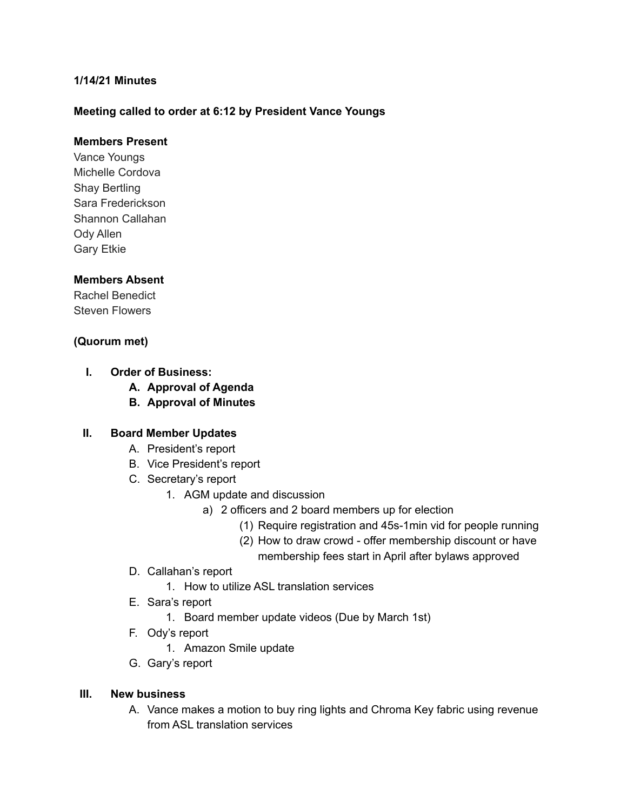## **1/14/21 Minutes**

### **Meeting called to order at 6:12 by President Vance Youngs**

## **Members Present**

Vance Youngs Michelle Cordova Shay Bertling Sara Frederickson Shannon Callahan Ody Allen Gary Etkie

#### **Members Absent**

Rachel Benedict Steven Flowers

#### **(Quorum met)**

- **I. Order of Business:**
	- **A. Approval of Agenda**
	- **B. Approval of Minutes**

#### **II. Board Member Updates**

- A. President's report
- B. Vice President's report
- C. Secretary's report
	- 1. AGM update and discussion
		- a) 2 officers and 2 board members up for election
			- (1) Require registration and 45s-1min vid for people running
			- (2) How to draw crowd offer membership discount or have membership fees start in April after bylaws approved
- D. Callahan's report
	- 1. How to utilize ASL translation services
- E. Sara's report
	- 1. Board member update videos (Due by March 1st)
- F. Ody's report
	- 1. Amazon Smile update
- G. Gary's report

#### **III. New business**

A. Vance makes a motion to buy ring lights and Chroma Key fabric using revenue from ASL translation services